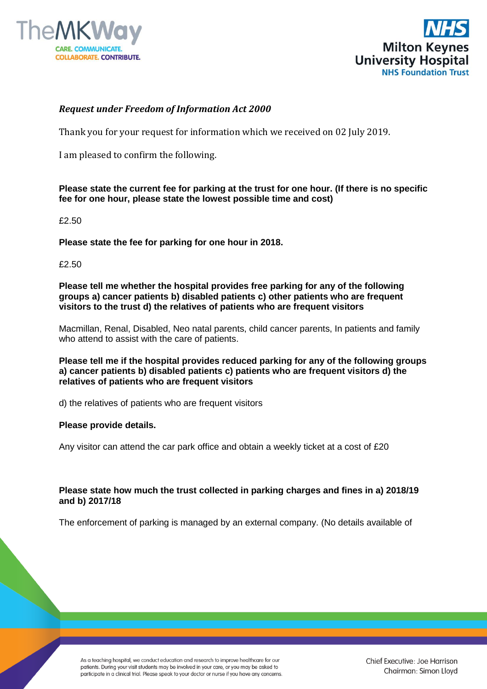



### *Request under Freedom of Information Act 2000*

Thank you for your request for information which we received on 02 July 2019.

I am pleased to confirm the following.

### **Please state the current fee for parking at the trust for one hour. (If there is no specific fee for one hour, please state the lowest possible time and cost)**

£2.50

**Please state the fee for parking for one hour in 2018.**

£2.50

**Please tell me whether the hospital provides free parking for any of the following groups a) cancer patients b) disabled patients c) other patients who are frequent visitors to the trust d) the relatives of patients who are frequent visitors**

Macmillan, Renal, Disabled, Neo natal parents, child cancer parents, In patients and family who attend to assist with the care of patients.

**Please tell me if the hospital provides reduced parking for any of the following groups a) cancer patients b) disabled patients c) patients who are frequent visitors d) the relatives of patients who are frequent visitors**

d) the relatives of patients who are frequent visitors

#### **Please provide details.**

Any visitor can attend the car park office and obtain a weekly ticket at a cost of £20

**Please state how much the trust collected in parking charges and fines in a) 2018/19 and b) 2017/18**

The enforcement of parking is managed by an external company. (No details available of

As a teaching hospital, we conduct education and research to improve healthcare for our patients. During your visit students may be involved in your care, or you may be asked to participate in a clinical trial. Please speak to your doctor or nurse if you have any concerns.